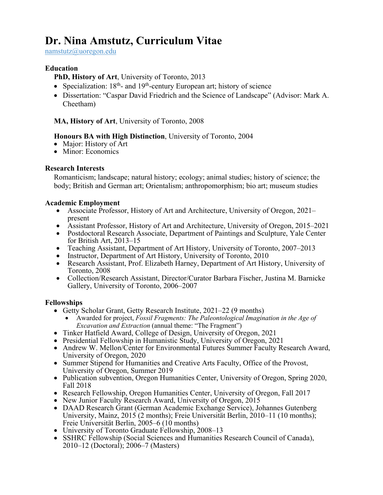# **Dr. Nina Amstutz, Curriculum Vitae**

namstutz@uoregon.edu

# **Education**

**PhD, History of Art**, University of Toronto, 2013

- Specialization:  $18<sup>th</sup>$  and  $19<sup>th</sup>$ -century European art; history of science
- Dissertation: "Caspar David Friedrich and the Science of Landscape" (Advisor: Mark A. Cheetham)

# **MA, History of Art**, University of Toronto, 2008

# **Honours BA with High Distinction**, University of Toronto, 2004

- Major: History of Art
- Minor: Economics

# **Research Interests**

Romanticism; landscape; natural history; ecology; animal studies; history of science; the body; British and German art; Orientalism; anthropomorphism; bio art; museum studies

# **Academic Employment**

- Associate Professor, History of Art and Architecture, University of Oregon, 2021– present
- Assistant Professor, History of Art and Architecture, University of Oregon, 2015–2021
- Postdoctoral Research Associate, Department of Paintings and Sculpture, Yale Center for British Art, 2013–15
- Teaching Assistant, Department of Art History, University of Toronto, 2007–2013
- Instructor, Department of Art History, University of Toronto, 2010
- Research Assistant, Prof. Elizabeth Harney, Department of Art History, University of Toronto, 2008
- Collection/Research Assistant, Director/Curator Barbara Fischer, Justina M. Barnicke Gallery, University of Toronto, 2006–2007

# **Fellowships**

- Getty Scholar Grant, Getty Research Institute, 2021–22 (9 months)
	- Awarded for project, *Fossil Fragments: The Paleontological Imagination in the Age of Excavation and Extraction* (annual theme: "The Fragment")
- Tinker Hatfield Award, College of Design, University of Oregon, 2021
- Presidential Fellowship in Humanistic Study, University of Oregon, 2021
- Andrew W. Mellon/Center for Environmental Futures Summer Faculty Research Award, University of Oregon, 2020
- Summer Stipend for Humanities and Creative Arts Faculty, Office of the Provost, University of Oregon, Summer 2019
- Publication subvention, Oregon Humanities Center, University of Oregon, Spring 2020, Fall 2018
- Research Fellowship, Oregon Humanities Center, University of Oregon, Fall 2017
- New Junior Faculty Research Award, University of Oregon, 2015
- DAAD Research Grant (German Academic Exchange Service), Johannes Gutenberg University, Mainz, 2015 (2 months); Freie Universität Berlin, 2010–11 (10 months); Freie Universität Berlin, 2005–6 (10 months)
- University of Toronto Graduate Fellowship, 2008–13
- SSHRC Fellowship (Social Sciences and Humanities Research Council of Canada), 2010–12 (Doctoral); 2006–7 (Masters)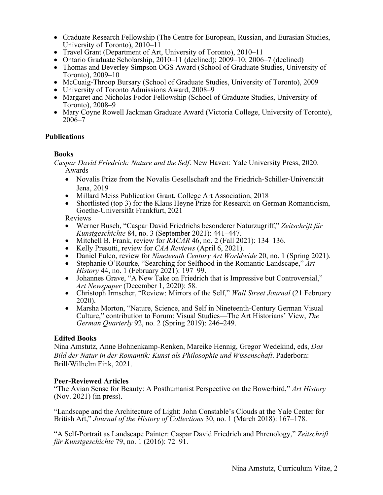- Graduate Research Fellowship (The Centre for European, Russian, and Eurasian Studies, University of Toronto), 2010–11
- Travel Grant (Department of Art, University of Toronto), 2010–11
- Ontario Graduate Scholarship, 2010–11 (declined); 2009–10; 2006–7 (declined)
- Thomas and Beverley Simpson OGS Award (School of Graduate Studies, University of
- 
- 
- Toronto), 2009–10<br>
McCuaig-Throop Bursary (School of Graduate Studies, University of Toronto), 2009<br>
University of Toronto Admissions Award, 2008–9<br>
Margaret and Nicholas Fodor Fellowship (School of Graduate Studies,
- Mary Coyne Rowell Jackman Graduate Award (Victoria College, University of Toronto), 2006–7

# **Publications**

# **Books**

*Caspar David Friedrich: Nature and the Self*. New Haven: Yale University Press, 2020. Awards

- Novalis Prize from the Novalis Gesellschaft and the Friedrich-Schiller-Universität Jena, 2019
- Millard Meiss Publication Grant, College Art Association, 2018
- Shortlisted (top 3) for the Klaus Heyne Prize for Research on German Romanticism, Goethe-Universität Frankfurt, 2021

Reviews

- Werner Busch, "Caspar David Friedrichs besonderer Naturzugriff," *Zeitschrift für Kunstgeschichte* 84, no. 3 (September 2021): 441–447.
- Mitchell B. Frank, review for *RACAR* 46, no. 2 (Fall 2021): 134–136.
- Kelly Presutti, review for *CAA Reviews* (April 6, 2021).
- Daniel Fulco, review for *Nineteenth Century Art Worldwide* 20, no. 1 (Spring 2021).
- Stephanie O'Rourke, "Searching for Selfhood in the Romantic Landscape," *Art History* 44, no. 1 (February 2021): 197–99.
- Johannes Grave, "A New Take on Friedrich that is Impressive but Controversial," *Art Newspaper* (December 1, 2020): 58.
- Christoph Irmscher, "Review: Mirrors of the Self," *Wall Street Journal* (21 February 2020).
- Marsha Morton, "Nature, Science, and Self in Nineteenth-Century German Visual Culture," contribution to Forum: Visual Studies—The Art Historians' View, *The German Quarterly* 92, no. 2 (Spring 2019): 246–249.

# **Edited Books**

Nina Amstutz, Anne Bohnenkamp-Renken, Mareike Hennig, Gregor Wedekind, eds, *Das Bild der Natur in der Romantik: Kunst als Philosophie und Wissenschaft*. Paderborn: Brill/Wilhelm Fink, 2021.

# **Peer-Reviewed Articles**

"The Avian Sense for Beauty: A Posthumanist Perspective on the Bowerbird," *Art History* (Nov. 2021) (in press).

"Landscape and the Architecture of Light: John Constable's Clouds at the Yale Center for British Art," *Journal of the History of Collections* 30, no. 1 (March 2018): 167–178.

"A Self-Portrait as Landscape Painter: Caspar David Friedrich and Phrenology," *Zeitschrift für Kunstgeschichte* 79, no. 1 (2016): 72–91.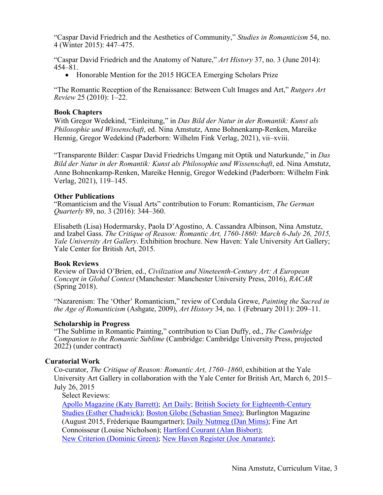"Caspar David Friedrich and the Aesthetics of Community," *Studies in Romanticism* 54, no. 4 (Winter 2015): 447–475.

"Caspar David Friedrich and the Anatomy of Nature," *Art History* 37, no. 3 (June 2014): 454–81.

• Honorable Mention for the 2015 HGCEA Emerging Scholars Prize

"The Romantic Reception of the Renaissance: Between Cult Images and Art," *Rutgers Art Review* 25 (2010): 1–22.

## **Book Chapters**

With Gregor Wedekind, "Einleitung," in *Das Bild der Natur in der Romantik: Kunst als Philosophie und Wissenschaft*, ed. Nina Amstutz, Anne Bohnenkamp-Renken, Mareike Hennig, Gregor Wedekind (Paderborn: Wilhelm Fink Verlag, 2021), vii–xviii.

"Transparente Bilder: Caspar David Friedrichs Umgang mit Optik und Naturkunde," in *Das Bild der Natur in der Romantik: Kunst als Philosophie und Wissenschaft*, ed. Nina Amstutz, Anne Bohnenkamp-Renken, Mareike Hennig, Gregor Wedekind (Paderborn: Wilhelm Fink Verlag, 2021), 119–145.

## **Other Publications**

"Romanticism and the Visual Arts" contribution to Forum: Romanticism, *The German Quarterly* 89, no. 3 (2016): 344–360.

Elisabeth (Lisa) Hodermarsky, Paola D'Agostino, A. Cassandra Albinson, Nina Amstutz, and Izabel Gass. *The Critique of Reason: Romantic Art, 1760-1860: March 6-July 26, 2015, Yale University Art Gallery*. Exhibition brochure. New Haven: Yale University Art Gallery; Yale Center for British Art, 2015.

#### **Book Reviews**

Review of David O'Brien, ed., *Civilization and Nineteenth-Century Art: A European Concept in Global Context* (Manchester: Manchester University Press, 2016), *RACAR*  (Spring 2018).

"Nazarenism: The 'Other' Romanticism," review of Cordula Grewe, *Painting the Sacred in the Age of Romanticism* (Ashgate, 2009), *Art History* 34, no. 1 (February 2011): 209–11.

#### **Scholarship in Progress**

"The Sublime in Romantic Painting," contribution to Cian Duffy, ed., *The Cambridge Companion to the Romantic Sublime* (Cambridge: Cambridge University Press, projected 2022) (under contract)

# **Curatorial Work**

Co-curator, *The Critique of Reason: Romantic Art, 1760*–*1860*, exhibition at the Yale University Art Gallery in collaboration with the Yale Center for British Art, March 6, 2015– July 26, 2015

Select Reviews:

Apollo Magazine (Katy Barrett); Art Daily; British Society for Eighteenth-Century Studies (Esther Chadwick); Boston Globe (Sebastian Smee); Burlington Magazine (August 2015, Fréderique Baumgartner); Daily Nutmeg (Dan Mims); Fine Art Connoisseur (Louise Nicholson); Hartford Courant (Alan Bisbort); New Criterion (Dominic Green); New Haven Register (Joe Amarante);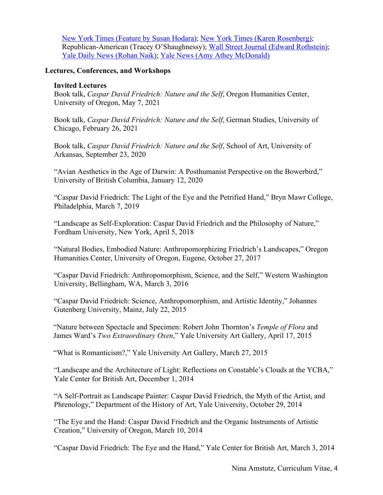New York Times (Feature by Susan Hodara); New York Times (Karen Rosenberg); Republican-American (Tracey O'Shaughnessy); Wall Street Journal (Edward Rothstein); Yale Daily News (Rohan Naik); Yale News (Amy Athey McDonald)

# **Lectures, Conferences, and Workshops**

# **Invited Lectures**

Book talk, *Caspar David Friedrich: Nature and the Self*, Oregon Humanities Center, University of Oregon, May 7, 2021

Book talk, *Caspar David Friedrich: Nature and the Self*, German Studies, University of Chicago, February 26, 2021

Book talk, *Caspar David Friedrich: Nature and the Self*, School of Art, University of Arkansas, September 23, 2020

"Avian Aesthetics in the Age of Darwin: A Posthumanist Perspective on the Bowerbird," University of British Columbia, January 12, 2020

"Caspar David Friedrich: The Light of the Eye and the Petrified Hand," Bryn Mawr College, Philadelphia, March 7, 2019

"Landscape as Self-Exploration: Caspar David Friedrich and the Philosophy of Nature," Fordham University, New York, April 5, 2018

"Natural Bodies, Embodied Nature: Anthropomorphizing Friedrich's Landscapes," Oregon Humanities Center, University of Oregon, Eugene, October 27, 2017

"Caspar David Friedrich: Anthropomorphism, Science, and the Self," Western Washington University, Bellingham, WA, March 3, 2016

"Caspar David Friedrich: Science, Anthropomorphism, and Artistic Identity," Johannes Gutenberg University, Mainz, July 22, 2015

"Nature between Spectacle and Specimen: Robert John Thornton's *Temple of Flora* and James Ward's *Two Extraordinary Oxen*," Yale University Art Gallery, April 17, 2015

"What is Romanticism?," Yale University Art Gallery, March 27, 2015

"Landscape and the Architecture of Light: Reflections on Constable's Clouds at the YCBA," Yale Center for British Art, December 1, 2014

"A Self-Portrait as Landscape Painter: Caspar David Friedrich, the Myth of the Artist, and Phrenology," Department of the History of Art, Yale University, October 29, 2014

"The Eye and the Hand: Caspar David Friedrich and the Organic Instruments of Artistic Creation," University of Oregon, March 10, 2014

"Caspar David Friedrich: The Eye and the Hand," Yale Center for British Art, March 3, 2014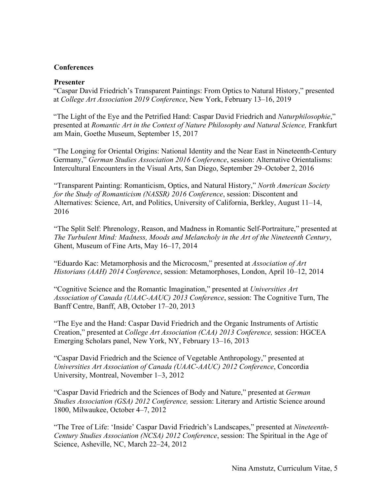# **Conferences**

# **Presenter**

"Caspar David Friedrich's Transparent Paintings: From Optics to Natural History," presented at *College Art Association 2019 Conference*, New York, February 13–16, 2019

"The Light of the Eye and the Petrified Hand: Caspar David Friedrich and *Naturphilosophie*," presented at *Romantic Art in the Context of Nature Philosophy and Natural Science,* Frankfurt am Main, Goethe Museum, September 15, 2017

"The Longing for Oriental Origins: National Identity and the Near East in Nineteenth-Century Germany," *German Studies Association 2016 Conference*, session: Alternative Orientalisms: Intercultural Encounters in the Visual Arts, San Diego, September 29–October 2, 2016

"Transparent Painting: Romanticism, Optics, and Natural History," *North American Society for the Study of Romanticism (NASSR) 2016 Conference*, session: Discontent and Alternatives: Science, Art, and Politics, University of California, Berkley, August 11–14, 2016

"The Split Self: Phrenology, Reason, and Madness in Romantic Self-Portraiture," presented at *The Turbulent Mind: Madness, Moods and Melancholy in the Art of the Nineteenth Century*, Ghent, Museum of Fine Arts, May 16–17, 2014

"Eduardo Kac: Metamorphosis and the Microcosm," presented at *Association of Art Historians (AAH) 2014 Conference*, session: Metamorphoses, London, April 10–12, 2014

"Cognitive Science and the Romantic Imagination," presented at *Universities Art Association of Canada (UAAC-AAUC) 2013 Conference*, session: The Cognitive Turn, The Banff Centre, Banff, AB, October 17–20, 2013

"The Eye and the Hand: Caspar David Friedrich and the Organic Instruments of Artistic Creation," presented at *College Art Association (CAA) 2013 Conference,* session: HGCEA Emerging Scholars panel, New York, NY, February 13–16, 2013

"Caspar David Friedrich and the Science of Vegetable Anthropology," presented at *Universities Art Association of Canada (UAAC-AAUC) 2012 Conference*, Concordia University, Montreal, November 1–3, 2012

"Caspar David Friedrich and the Sciences of Body and Nature," presented at *German Studies Association (GSA) 2012 Conference,* session: Literary and Artistic Science around 1800, Milwaukee, October 4–7, 2012

"The Tree of Life: 'Inside' Caspar David Friedrich's Landscapes," presented at *Nineteenth-Century Studies Association (NCSA) 2012 Conference*, session: The Spiritual in the Age of Science, Asheville, NC, March 22–24, 2012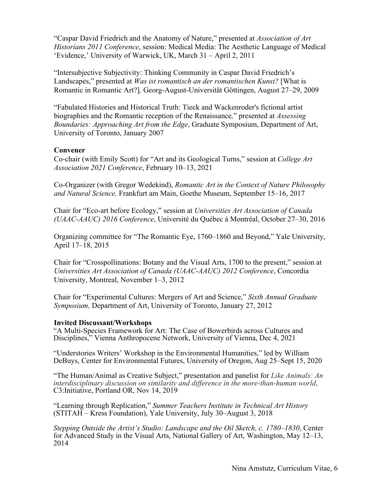"Caspar David Friedrich and the Anatomy of Nature," presented at *Association of Art Historians 2011 Conference*, session: Medical Media: The Aesthetic Language of Medical 'Evidence,' University of Warwick, UK, March 31 – April 2, 2011

"Intersubjective Subjectivity: Thinking Community in Caspar David Friedrich's Landscapes," presented at *Was ist romantisch an der romantischen Kunst?* [What is Romantic in Romantic Art?]*,* Georg-August-Universität Göttingen, August 27–29, 2009

"Fabulated Histories and Historical Truth: Tieck and Wackenroder's fictional artist biographies and the Romantic reception of the Renaissance*,*" presented at *Assessing Boundaries: Approaching Art from the Edge*, Graduate Symposium, Department of Art, University of Toronto, January 2007

## **Convener**

Co-chair (with Emily Scott) for "Art and its Geological Turns," session at *College Art Association 2021 Conference*, February 10–13, 2021

Co-Organizer (with Gregor Wedekind), *Romantic Art in the Context of Nature Philosophy and Natural Science,* Frankfurt am Main, Goethe Museum, September 15–16, 2017

Chair for "Eco-art before Ecology," session at *Universities Art Association of Canada (UAAC-AAUC) 2016 Conference*, Université du Québec à Montréal, October 27–30, 2016

Organizing committee for "The Romantic Eye, 1760–1860 and Beyond," Yale University, April 17–18, 2015

Chair for "Crosspollinations: Botany and the Visual Arts, 1700 to the present," session at *Universities Art Association of Canada (UAAC-AAUC) 2012 Conference*, Concordia University, Montreal, November 1–3, 2012

Chair for "Experimental Cultures: Mergers of Art and Science," *Sixth Annual Graduate Symposium,* Department of Art, University of Toronto, January 27, 2012

#### **Invited Discussant/Workshops**

"A Multi-Species Framework for Art: The Case of Bowerbirds across Cultures and Disciplines," Vienna Anthropocene Network, University of Vienna, Dec 4, 2021

"Understories Writers' Workshop in the Environmental Humanities," led by William DeBuys, Center for Environmental Futures, University of Oregon, Aug 25–Sept 15, 2020

"The Human/Animal as Creative Subject," presentation and panelist for *Like Animals: An interdisciplinary discussion on similarity and difference in the more-than-human world*, C3:Initiative, Portland OR, Nov 14, 2019

"Learning through Replication," *Summer Teachers Institute in Technical Art History*  (STITAH – Kress Foundation), Yale University, July 30–August 3, 2018

*Stepping Outside the Artist's Studio: Landscape and the Oil Sketch, c. 1780–1830*, Center for Advanced Study in the Visual Arts, National Gallery of Art, Washington, May 12–13, 2014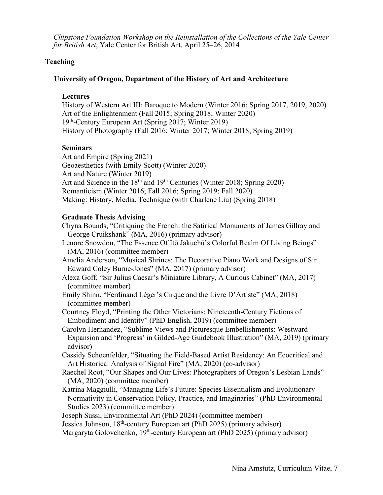*Chipstone Foundation Workshop on the Reinstallation of the Collections of the Yale Center for British Art*, Yale Center for British Art, April 25–26, 2014

# **Teaching**

# **University of Oregon, Department of the History of Art and Architecture**

## **Lectures**

History of Western Art III: Baroque to Modern (Winter 2016; Spring 2017, 2019, 2020) Art of the Enlightenment (Fall 2015; Spring 2018; Winter 2020) 19th-Century European Art (Spring 2017; Winter 2019) History of Photography (Fall 2016; Winter 2017; Winter 2018; Spring 2019)

# **Seminars**

Art and Empire (Spring 2021) Geoaesthetics (with Emily Scott) (Winter 2020) Art and Nature (Winter 2019) Art and Science in the 18<sup>th</sup> and 19<sup>th</sup> Centuries (Winter 2018; Spring 2020) Romanticism (Winter 2016; Fall 2016; Spring 2019; Fall 2020) Making: History, Media, Technique (with Charlene Liu) (Spring 2018)

# **Graduate Thesis Advising**

Chyna Bounds, "Critiquing the French: the Satirical Monuments of James Gillray and George Cruikshank" (MA, 2016) (primary advisor)

- Lenore Snowdon, "The Essence Of Itō Jakuchū's Colorful Realm Of Living Beings" (MA, 2016) (committee member)
- Amelia Anderson, "Musical Shrines: The Decorative Piano Work and Designs of Sir Edward Coley Burne-Jones" (MA, 2017) (primary advisor)
- Alexa Goff, "Sir Julius Caesar's Miniature Library, A Curious Cabinet" (MA, 2017) (committee member)
- Emily Shinn, "Ferdinand Léger's Cirque and the Livre D'Artiste" (MA, 2018) (committee member)

Courtney Floyd, "Printing the Other Victorians: Nineteenth-Century Fictions of Embodiment and Identity" (PhD English, 2019) (committee member)

- Carolyn Hernandez, "Sublime Views and Picturesque Embellishments: Westward Expansion and 'Progress' in Gilded-Age Guidebook Illustration" (MA, 2019) (primary advisor)
- Cassidy Schoenfelder, "Situating the Field-Based Artist Residency: An Ecocritical and Art Historical Analysis of Signal Fire" (MA, 2020) (co-advisor)
- Raechel Root, "Our Shapes and Our Lives: Photographers of Oregon's Lesbian Lands" (MA, 2020) (committee member)
- Katrina Maggiulli, "Managing Life's Future: Species Essentialism and Evolutionary Normativity in Conservation Policy, Practice, and Imaginaries" (PhD Environmental Studies 2023) (committee member)

Joseph Sussi, Environmental Art (PhD 2024) (committee member)

Jessica Johnson, 18th-century European art (PhD 2025) (primary advisor)

Margaryta Golovchenko, 19<sup>th</sup>-century European art (PhD 2025) (primary advisor)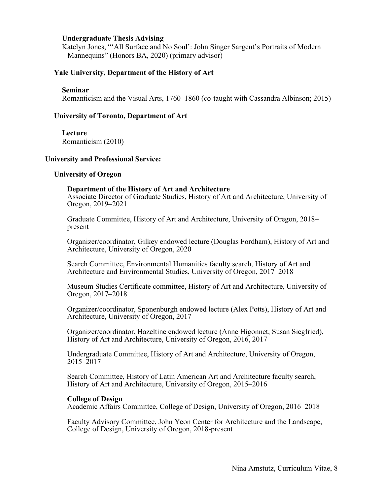## **Undergraduate Thesis Advising**

Katelyn Jones, "'All Surface and No Soul': John Singer Sargent's Portraits of Modern Mannequins" (Honors BA, 2020) (primary advisor)

## **Yale University, Department of the History of Art**

#### **Seminar**

Romanticism and the Visual Arts, 1760–1860 (co-taught with Cassandra Albinson; 2015)

## **University of Toronto, Department of Art**

## **Lecture**

Romanticism (2010)

## **University and Professional Service:**

#### **University of Oregon**

## **Department of the History of Art and Architecture**

Associate Director of Graduate Studies, History of Art and Architecture, University of Oregon, 2019–2021

Graduate Committee, History of Art and Architecture, University of Oregon, 2018– present

Organizer/coordinator, Gilkey endowed lecture (Douglas Fordham), History of Art and Architecture, University of Oregon, 2020

Search Committee, Environmental Humanities faculty search, History of Art and Architecture and Environmental Studies, University of Oregon, 2017–2018

Museum Studies Certificate committee, History of Art and Architecture, University of Oregon, 2017–2018

Organizer/coordinator, Sponenburgh endowed lecture (Alex Potts), History of Art and Architecture, University of Oregon, 2017

Organizer/coordinator, Hazeltine endowed lecture (Anne Higonnet; Susan Siegfried), History of Art and Architecture, University of Oregon, 2016, 2017

Undergraduate Committee, History of Art and Architecture, University of Oregon, 2015–2017

Search Committee, History of Latin American Art and Architecture faculty search, History of Art and Architecture, University of Oregon, 2015–2016

#### **College of Design**

Academic Affairs Committee, College of Design, University of Oregon, 2016–2018

Faculty Advisory Committee, John Yeon Center for Architecture and the Landscape, College of Design, University of Oregon, 2018-present